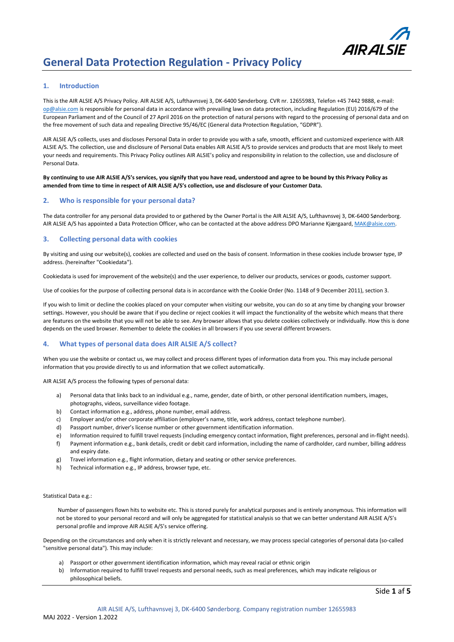

### **1. Introduction**

This is the AIR ALSIE A/S Privacy Policy. AIR ALSIE A/S, Lufthavnsvej 3, DK-6400 Sønderborg. CVR nr. 12655983, Telefon +45 7442 9888, e-mail: [op@alsie.com](mailto:op@alsie.com) is responsible for personal data in accordance with prevailing laws on data protection, including Regulation (EU) 2016/679 of the European Parliament and of the Council of 27 April 2016 on the protection of natural persons with regard to the processing of personal data and on the free movement of such data and repealing Directive 95/46/EC (General data Protection Regulation, "GDPR").

AIR ALSIE A/S collects, uses and discloses Personal Data in order to provide you with a safe, smooth, efficient and customized experience with AIR ALSIE A/S. The collection, use and disclosure of Personal Data enables AIR ALSIE A/S to provide services and products that are most likely to meet your needs and requirements. This Privacy Policy outlines AIR ALSIE's policy and responsibility in relation to the collection, use and disclosure of Personal Data.

**By continuing to use AIR ALSIE A/S's services, you signify that you have read, understood and agree to be bound by this Privacy Policy as amended from time to time in respect of AIR ALSIE A/S's collection, use and disclosure of your Customer Data.**

#### **2. Who is responsible for your personal data?**

The data controller for any personal data provided to or gathered by the Owner Portal is the AIR ALSIE A/S, Lufthavnsvej 3, DK-6400 Sønderborg. AIR ALSIE A/S has appointed a Data Protection Officer, who can be contacted at the above address DPO Marianne Kjærgaard, MAK@alsie.com.

#### **3. Collecting personal data with cookies**

By visiting and using our website(s), cookies are collected and used on the basis of consent. Information in these cookies include browser type, IP address. (hereinafter "Cookiedata").

Cookiedata is used for improvement of the website(s) and the user experience, to deliver our products, services or goods, customer support.

Use of cookies for the purpose of collecting personal data is in accordance with the Cookie Order (No. 1148 of 9 December 2011), section 3.

If you wish to limit or decline the cookies placed on your computer when visiting our website, you can do so at any time by changing your browser settings. However, you should be aware that if you decline or reject cookies it will impact the functionality of the website which means that there are features on the website that you will not be able to see. Any browser allows that you delete cookies collectively or individually. How this is done depends on the used browser. Remember to delete the cookies in all browsers if you use several different browsers.

# **4. What types of personal data does AIR ALSIE A/S collect?**

When you use the website or contact us, we may collect and process different types of information data from you. This may include personal information that you provide directly to us and information that we collect automatically.

AIR ALSIE A/S process the following types of personal data:

- a) Personal data that links back to an individual e.g., name, gender, date of birth, or other personal identification numbers, images, photographs, videos, surveillance video footage.
- b) Contact information e.g., address, phone number, email address.
- c) Employer and/or other corporate affiliation (employer's name, title, work address, contact telephone number).
- d) Passport number, driver's license number or other government identification information.
- e) Information required to fulfill travel requests (including emergency contact information, flight preferences, personal and in-flight needs). f) Payment information e.g., bank details, credit or debit card information, including the name of cardholder, card number, billing address
- and expiry date.
- g) Travel information e.g., flight information, dietary and seating or other service preferences.
- h) Technical information e.g., IP address, browser type, etc.

#### Statistical Data e.g.:

Number of passengers flown hits to website etc. This is stored purely for analytical purposes and is entirely anonymous. This information will not be stored to your personal record and will only be aggregated for statistical analysis so that we can better understand AIR ALSIE A/S's personal profile and improve AIR ALSIE A/S's service offering.

Depending on the circumstances and only when it is strictly relevant and necessary, we may process special categories of personal data (so-called "sensitive personal data"). This may include:

- a) Passport or other government identification information, which may reveal racial or ethnic origin
- b) Information required to fulfill travel requests and personal needs, such as meal preferences, which may indicate religious or philosophical beliefs.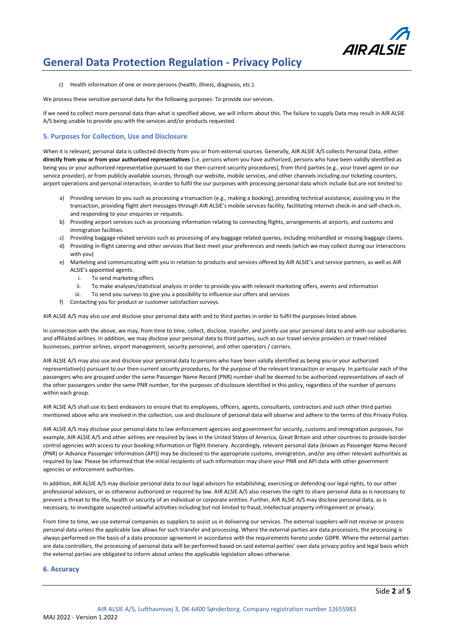

c) Health information of one or more persons (health, illness, diagnosis, etc.).

We process these sensitive personal data for the following purposes: To provide our services.

If we need to collect more personal data than what is specified above, we will inform about this. The failure to supply Data may result in AIR ALSIE A/S being unable to provide you with the services and/or products requested.

### **5. Purposes for Collection, Use and Disclosure**

When it is relevant, personal data is collected directly from you or from external sources. Generally, AIR ALSIE A/S collects Personal Data, either **directly from you or from your authorized representatives** (i.e. persons whom you have authorized, persons who have been validly identified as being you or your authorized representative pursuant to our then-current security procedures), from third parties (e.g., your travel agent or our service provider), or from publicly available sources, through our website, mobile services, and other channels including our ticketing counters, airport operations and personal interaction, in order to fulfil the our purposes with processing personal data which include but are not limited to:

- a) Providing services to you such as processing a transaction (e.g., making a booking), providing technical assistance, assisting you in the transaction, providing flight alert messages through AIR ALSIE's mobile services facility, facilitating internet check-in and self-check-in, and responding to your enquiries or requests.
- b) Providing airport services such as processing information relating to connecting flights, arrangements at airports, and customs and immigration facilities.
- c) Providing baggage related services such as processing of any baggage related queries, including mishandled or missing baggage claims. d) Providing in-flight catering and other services that best meet your preferences and needs (which we may collect during our interactions with you)
- e) Marketing and communicating with you in relation to products and services offered by AIR ALSIE's and service partners, as well as AIR ALSIE's appointed agents.
	- i. To send marketing offers
	- ii. To make analyses/statistical analysis in order to provide you with relevant marketing offers, events and information
	- iii. To send you surveys to give you a possibility to influence our offers and services
- f) Contacting you for product or customer satisfaction surveys.

AIR ALSIE A/S may also use and disclose your personal data with and to third parties in order to fulfil the purposes listed above.

In connection with the above, we may, from time to time, collect, disclose, transfer, and jointly use your personal data to and with our subsidiaries and affiliated airlines. In addition, we may disclose your personal data to third parties, such as our travel service providers or travel-related businesses, partner airlines, airport management, security personnel, and other operators / carriers.

AIR ALSIE A/S may also use and disclose your personal data to persons who have been validly identified as being you or your authorized representative(s) pursuant to our then-current security procedures, for the purpose of the relevant transaction or enquiry. In particular each of the passengers who are grouped under the same Passenger Name Record (PNR) number shall be deemed to be authorized representatives of each of the other passengers under the same PNR number, for the purposes of disclosure identified in this policy, regardless of the number of persons within each group.

AIR ALSIE A/S shall use its best endeavors to ensure that its employees, officers, agents, consultants, contractors and such other third parties mentioned above who are involved in the collection, use and disclosure of personal data will observe and adhere to the terms of this Privacy Policy.

AIR ALSIE A/S may disclose your personal data to law enforcement agencies and government for security, customs and immigration purposes. For example, AIR ALSIE A/S and other airlines are required by laws in the United States of America, Great Britain and other countries to provide border control agencies with access to your booking information or flight itinerary. Accordingly, relevant personal data (known as Passenger Name Record (PNR) or Advance Passenger Information (API)) may be disclosed to the appropriate customs, immigration, and/or any other relevant authorities as required by law. Please be informed that the initial recipients of such information may share your PNR and API data with other government agencies or enforcement authorities.

In addition, AIR ALSIE A/S may disclose personal data to our legal advisors for establishing, exercising or defending our legal rights, to our other professional advisors, or as otherwise authorized or required by law. AIR ALSIE A/S also reserves the right to share personal data as is necessary to prevent a threat to the life, health or security of an individual or corporate entities. Further, AIR ALSIE A/S may disclose personal data, as is necessary, to investigate suspected unlawful activities including but not limited to fraud, intellectual property infringement or privacy.

From time to time, we use external companies as suppliers to assist us in delivering our services. The external suppliers will not receive or process personal data unless the applicable law allows for such transfer and processing. Where the external parties are data processors, the processing is always performed on the basis of a data processor agreement in accordance with the requirements hereto under GDPR. Where the external parties are data controllers, the processing of personal data will be performed based on said external parties' own data privacy policy and legal basis which the external parties are obligated to inform about unless the applicable legislation allows otherwise.

#### **6. Accuracy**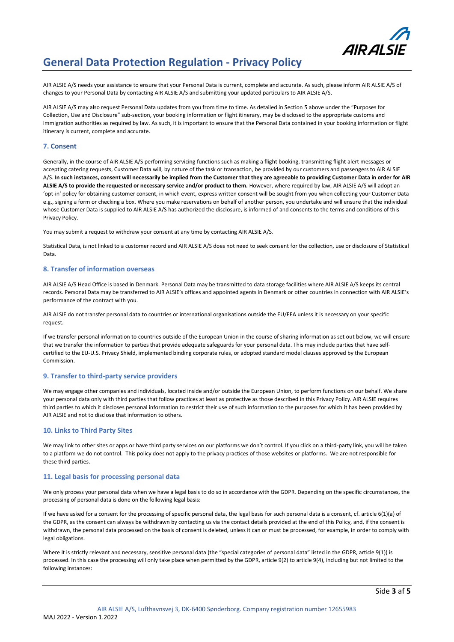

AIR ALSIE A/S needs your assistance to ensure that your Personal Data is current, complete and accurate. As such, please inform AIR ALSIE A/S of changes to your Personal Data by contacting AIR ALSIE A/S and submitting your updated particulars to AIR ALSIE A/S.

AIR ALSIE A/S may also request Personal Data updates from you from time to time. As detailed in Section 5 above under the "Purposes for Collection, Use and Disclosure" sub-section, your booking information or flight itinerary, may be disclosed to the appropriate customs and immigration authorities as required by law. As such, it is important to ensure that the Personal Data contained in your booking information or flight itinerary is current, complete and accurate.

# **7. Consent**

Generally, in the course of AIR ALSIE A/S performing servicing functions such as making a flight booking, transmitting flight alert messages or accepting catering requests, Customer Data will, by nature of the task or transaction, be provided by our customers and passengers to AIR ALSIE A/S. **In such instances, consent will necessarily be implied from the Customer that they are agreeable to providing Customer Data in order for AIR**  ALSIE A/S to provide the requested or necessary service and/or product to them. However, where required by law, AIR ALSIE A/S will adopt an 'opt-in' policy for obtaining customer consent, in which event, express written consent will be sought from you when collecting your Customer Data e.g., signing a form or checking a box. Where you make reservations on behalf of another person, you undertake and will ensure that the individual whose Customer Data is supplied to AIR ALSIE A/S has authorized the disclosure, is informed of and consents to the terms and conditions of this Privacy Policy.

You may submit a request to withdraw your consent at any time by contacting AIR ALSIE A/S.

Statistical Data, is not linked to a customer record and AIR ALSIE A/S does not need to seek consent for the collection, use or disclosure of Statistical Data.

#### **8. Transfer of information overseas**

AIR ALSIE A/S Head Office is based in Denmark. Personal Data may be transmitted to data storage facilities where AIR ALSIE A/S keeps its central records. Personal Data may be transferred to AIR ALSIE's offices and appointed agents in Denmark or other countries in connection with AIR ALSIE's performance of the contract with you.

AIR ALSIE do not transfer personal data to countries or international organisations outside the EU/EEA unless it is necessary on your specific request.

If we transfer personal information to countries outside of the European Union in the course of sharing information as set out below, we will ensure that we transfer the information to parties that provide adequate safeguards for your personal data. This may include parties that have selfcertified to the EU-U.S. Privacy Shield, implemented binding corporate rules, or adopted standard model clauses approved by the European Commission.

#### **9. Transfer to third-party service providers**

We may engage other companies and individuals, located inside and/or outside the European Union, to perform functions on our behalf. We share your personal data only with third parties that follow practices at least as protective as those described in this Privacy Policy. AIR ALSIE requires third parties to which it discloses personal information to restrict their use of such information to the purposes for which it has been provided by AIR ALSIE and not to disclose that information to others.

### **10. Links to Third Party Sites**

We may link to other sites or apps or have third party services on our platforms we don't control. If you click on a third-party link, you will be taken to a platform we do not control. This policy does not apply to the privacy practices of those websites or platforms. We are not responsible for these third parties.

#### **11. Legal basis for processing personal data**

We only process your personal data when we have a legal basis to do so in accordance with the GDPR. Depending on the specific circumstances, the processing of personal data is done on the following legal basis:

If we have asked for a consent for the processing of specific personal data, the legal basis for such personal data is a consent, cf. article 6(1)(a) of the GDPR, as the consent can always be withdrawn by contacting us via the contact details provided at the end of this Policy, and, if the consent is withdrawn, the personal data processed on the basis of consent is deleted, unless it can or must be processed, for example, in order to comply with legal obligations.

Where it is strictly relevant and necessary, sensitive personal data (the "special categories of personal data" listed in the GDPR, article 9(1)) is processed. In this case the processing will only take place when permitted by the GDPR, article 9(2) to article 9(4), including but not limited to the following instances: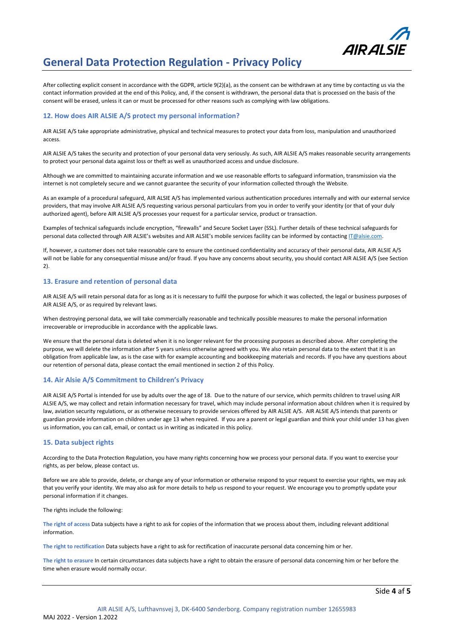

After collecting explicit consent in accordance with the GDPR, article 9(2)(a), as the consent can be withdrawn at any time by contacting us via the contact information provided at the end of this Policy, and, if the consent is withdrawn, the personal data that is processed on the basis of the consent will be erased, unless it can or must be processed for other reasons such as complying with law obligations.

# **12. How does AIR ALSIE A/S protect my personal information?**

AIR ALSIE A/S take appropriate administrative, physical and technical measures to protect your data from loss, manipulation and unauthorized access.

AIR ALSIE A/S takes the security and protection of your personal data very seriously. As such, AIR ALSIE A/S makes reasonable security arrangements to protect your personal data against loss or theft as well as unauthorized access and undue disclosure.

Although we are committed to maintaining accurate information and we use reasonable efforts to safeguard information, transmission via the internet is not completely secure and we cannot guarantee the security of your information collected through the Website.

As an example of a procedural safeguard, AIR ALSIE A/S has implemented various authentication procedures internally and with our external service providers, that may involve AIR ALSIE A/S requesting various personal particulars from you in order to verify your identity (or that of your duly authorized agent), before AIR ALSIE A/S processes your request for a particular service, product or transaction.

Examples of technical safeguards include encryption, "firewalls" and Secure Socket Layer (SSL). Further details of these technical safeguards for personal data collected through AIR ALSIE's websites and AIR ALSIE's mobile services facility can be informed by contactin[g IT@alsie.com.](mailto:IT@alsie.com)

If, however, a customer does not take reasonable care to ensure the continued confidentiality and accuracy of their personal data, AIR ALSIE A/S will not be liable for any consequential misuse and/or fraud. If you have any concerns about security, you should contact AIR ALSIE A/S (see Section 2).

# **13. Erasure and retention of personal data**

AIR ALSIE A/S will retain personal data for as long as it is necessary to fulfil the purpose for which it was collected, the legal or business purposes of AIR ALSIE A/S, or as required by relevant laws.

When destroying personal data, we will take commercially reasonable and technically possible measures to make the personal information irrecoverable or irreproducible in accordance with the applicable laws.

We ensure that the personal data is deleted when it is no longer relevant for the processing purposes as described above. After completing the purpose, we will delete the information after 5 years unless otherwise agreed with you. We also retain personal data to the extent that it is an obligation from applicable law, as is the case with for example accounting and bookkeeping materials and records. If you have any questions about our retention of personal data, please contact the email mentioned in section 2 of this Policy.

# **14. Air Alsie A/S Commitment to Children's Privacy**

AIR ALSIE A/S Portal is intended for use by adults over the age of 18. Due to the nature of our service, which permits children to travel using AIR ALSIE A/S, we may collect and retain information necessary for travel, which may include personal information about children when it is required by law, aviation security regulations, or as otherwise necessary to provide services offered by AIR ALSIE A/S. AIR ALSIE A/S intends that parents or guardian provide information on children under age 13 when required. If you are a parent or legal guardian and think your child under 13 has given us information, you can call, email, or contact us in writing as indicated in this policy.

# **15. Data subject rights**

According to the Data Protection Regulation, you have many rights concerning how we process your personal data. If you want to exercise your rights, as per below, please contact us.

Before we are able to provide, delete, or change any of your information or otherwise respond to your request to exercise your rights, we may ask that you verify your identity. We may also ask for more details to help us respond to your request. We encourage you to promptly update your personal information if it changes.

The rights include the following:

**The right of access** Data subjects have a right to ask for copies of the information that we process about them, including relevant additional information.

**The right to rectification** Data subjects have a right to ask for rectification of inaccurate personal data concerning him or her.

**The right to erasure** In certain circumstances data subjects have a right to obtain the erasure of personal data concerning him or her before the time when erasure would normally occur.